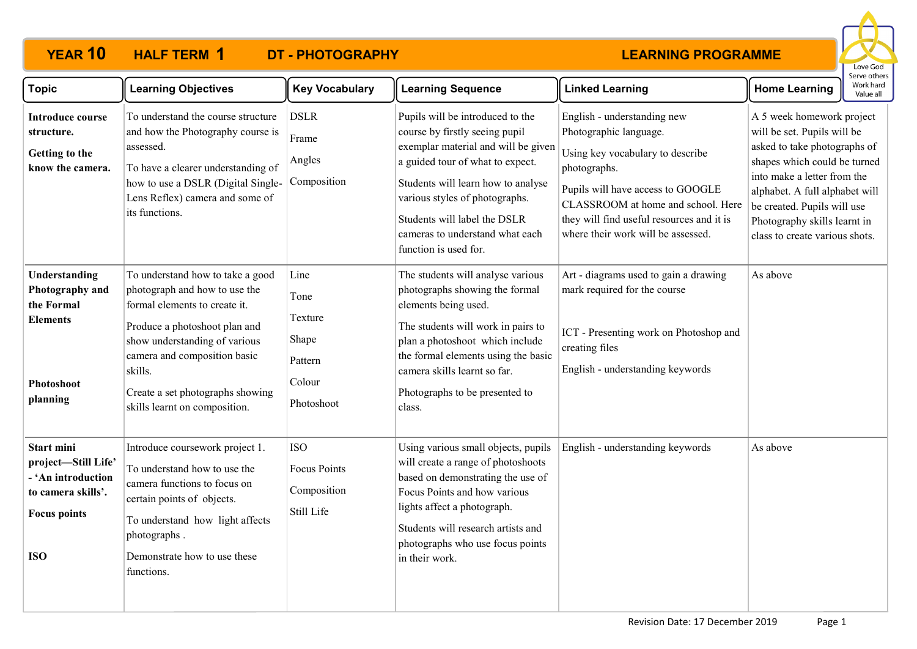

| <b>Topic</b>                                                                                                       | <b>Learning Objectives</b>                                                                                                                                                                                                                                                           | <b>Key Vocabulary</b>                                               | <b>Learning Sequence</b>                                                                                                                                                                                                                                                                                          | <b>Linked Learning</b>                                                                                                                                                                                                                                                  | <b>Home Learning</b>                                                                                                                                                                                                                                                                       | Work hard<br>Value all |
|--------------------------------------------------------------------------------------------------------------------|--------------------------------------------------------------------------------------------------------------------------------------------------------------------------------------------------------------------------------------------------------------------------------------|---------------------------------------------------------------------|-------------------------------------------------------------------------------------------------------------------------------------------------------------------------------------------------------------------------------------------------------------------------------------------------------------------|-------------------------------------------------------------------------------------------------------------------------------------------------------------------------------------------------------------------------------------------------------------------------|--------------------------------------------------------------------------------------------------------------------------------------------------------------------------------------------------------------------------------------------------------------------------------------------|------------------------|
| <b>Introduce course</b><br>structure.<br>Getting to the<br>know the camera.                                        | To understand the course structure<br>and how the Photography course is<br>assessed.<br>To have a clearer understanding of<br>how to use a DSLR (Digital Single-<br>Lens Reflex) camera and some of<br>its functions.                                                                | <b>DSLR</b><br>Frame<br>Angles<br>Composition                       | Pupils will be introduced to the<br>course by firstly seeing pupil<br>exemplar material and will be given<br>a guided tour of what to expect.<br>Students will learn how to analyse<br>various styles of photographs.<br>Students will label the DSLR<br>cameras to understand what each<br>function is used for. | English - understanding new<br>Photographic language.<br>Using key vocabulary to describe<br>photographs.<br>Pupils will have access to GOOGLE<br>CLASSROOM at home and school. Here<br>they will find useful resources and it is<br>where their work will be assessed. | A 5 week homework project<br>will be set. Pupils will be<br>asked to take photographs of<br>shapes which could be turned<br>into make a letter from the<br>alphabet. A full alphabet will<br>be created. Pupils will use<br>Photography skills learnt in<br>class to create various shots. |                        |
| Understanding<br>Photography and<br>the Formal<br><b>Elements</b><br>Photoshoot<br>planning                        | To understand how to take a good<br>photograph and how to use the<br>formal elements to create it.<br>Produce a photoshoot plan and<br>show understanding of various<br>camera and composition basic<br>skills.<br>Create a set photographs showing<br>skills learnt on composition. | Line<br>Tone<br>Texture<br>Shape<br>Pattern<br>Colour<br>Photoshoot | The students will analyse various<br>photographs showing the formal<br>elements being used.<br>The students will work in pairs to<br>plan a photoshoot which include<br>the formal elements using the basic<br>camera skills learnt so far.<br>Photographs to be presented to<br>class.                           | Art - diagrams used to gain a drawing<br>mark required for the course<br>ICT - Presenting work on Photoshop and<br>creating files<br>English - understanding keywords                                                                                                   | As above                                                                                                                                                                                                                                                                                   |                        |
| Start mini<br>project-Still Life'<br>- 'An introduction<br>to camera skills'.<br><b>Focus points</b><br><b>ISO</b> | Introduce coursework project 1.<br>To understand how to use the<br>camera functions to focus on<br>certain points of objects.<br>To understand how light affects<br>photographs.<br>Demonstrate how to use these<br>functions.                                                       | <b>ISO</b><br>Focus Points<br>Composition<br>Still Life             | Using various small objects, pupils<br>will create a range of photoshoots<br>based on demonstrating the use of<br>Focus Points and how various<br>lights affect a photograph.<br>Students will research artists and<br>photographs who use focus points<br>in their work.                                         | English - understanding keywords                                                                                                                                                                                                                                        | As above                                                                                                                                                                                                                                                                                   |                        |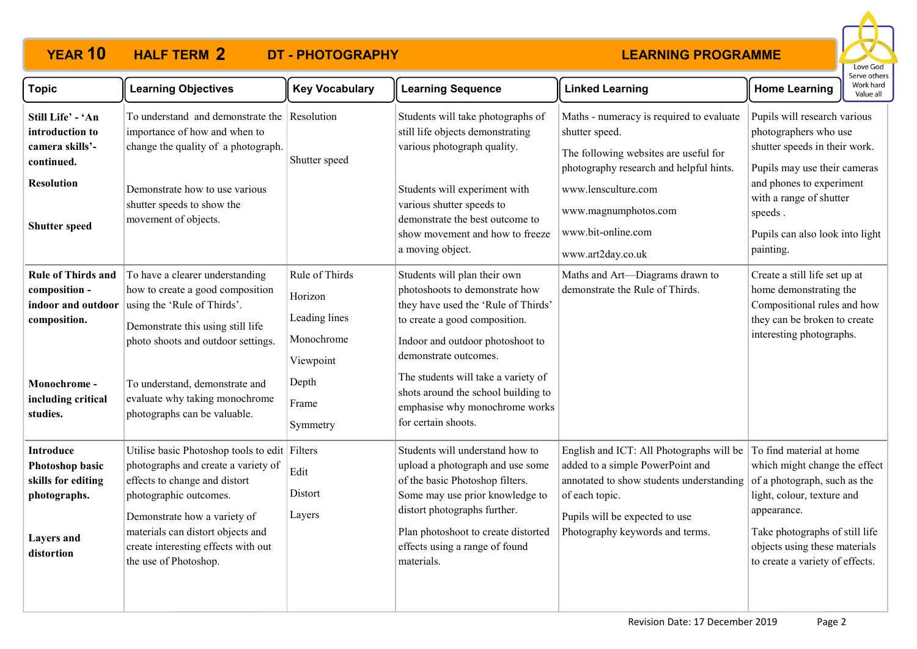

| <b>Topic</b>                                                                                                                       | <b>Learning Objectives</b>                                                                                                                                                                                                                                                           | <b>Key Vocabulary</b>                                                                               | <b>Learning Sequence</b>                                                                                                                                                                                                                                                                                                                   | <b>Linked Learning</b>                                                                                                                                                                                                                   | <b>Home Learning</b>                                                                                                                                                                                                                         | Work hard<br>Value all |
|------------------------------------------------------------------------------------------------------------------------------------|--------------------------------------------------------------------------------------------------------------------------------------------------------------------------------------------------------------------------------------------------------------------------------------|-----------------------------------------------------------------------------------------------------|--------------------------------------------------------------------------------------------------------------------------------------------------------------------------------------------------------------------------------------------------------------------------------------------------------------------------------------------|------------------------------------------------------------------------------------------------------------------------------------------------------------------------------------------------------------------------------------------|----------------------------------------------------------------------------------------------------------------------------------------------------------------------------------------------------------------------------------------------|------------------------|
| Still Life' - 'An<br>introduction to<br>camera skills'-<br>continued.<br><b>Resolution</b><br><b>Shutter speed</b>                 | To understand and demonstrate the Resolution<br>importance of how and when to<br>change the quality of a photograph.<br>Demonstrate how to use various<br>shutter speeds to show the<br>movement of objects.                                                                         | Shutter speed                                                                                       | Students will take photographs of<br>still life objects demonstrating<br>various photograph quality.<br>Students will experiment with<br>various shutter speeds to<br>demonstrate the best outcome to<br>show movement and how to freeze<br>a moving object.                                                                               | Maths - numeracy is required to evaluate<br>shutter speed.<br>The following websites are useful for<br>photography research and helpful hints.<br>www.lensculture.com<br>www.magnumphotos.com<br>www.bit-online.com<br>www.art2day.co.uk | Pupils will research various<br>photographers who use<br>shutter speeds in their work.<br>Pupils may use their cameras<br>and phones to experiment<br>with a range of shutter<br>speeds.<br>Pupils can also look into light<br>painting.     |                        |
| <b>Rule of Thirds and</b><br>composition -<br>indoor and outdoor<br>composition.<br>Monochrome -<br>including critical<br>studies. | To have a clearer understanding<br>how to create a good composition<br>using the 'Rule of Thirds'.<br>Demonstrate this using still life<br>photo shoots and outdoor settings.<br>To understand, demonstrate and<br>evaluate why taking monochrome<br>photographs can be valuable.    | Rule of Thirds<br>Horizon<br>Leading lines<br>Monochrome<br>Viewpoint<br>Depth<br>Frame<br>Symmetry | Students will plan their own<br>photoshoots to demonstrate how<br>they have used the 'Rule of Thirds'<br>to create a good composition.<br>Indoor and outdoor photoshoot to<br>demonstrate outcomes.<br>The students will take a variety of<br>shots around the school building to<br>emphasise why monochrome works<br>for certain shoots. | Maths and Art-Diagrams drawn to<br>demonstrate the Rule of Thirds.                                                                                                                                                                       | Create a still life set up at<br>home demonstrating the<br>Compositional rules and how<br>they can be broken to create<br>interesting photographs.                                                                                           |                        |
| <b>Introduce</b><br>Photoshop basic<br>skills for editing<br>photographs.<br><b>Layers</b> and<br>distortion                       | Utilise basic Photoshop tools to edit Filters<br>photographs and create a variety of<br>effects to change and distort<br>photographic outcomes.<br>Demonstrate how a variety of<br>materials can distort objects and<br>create interesting effects with out<br>the use of Photoshop. | Edit<br>Distort<br>Layers                                                                           | Students will understand how to<br>upload a photograph and use some<br>of the basic Photoshop filters.<br>Some may use prior knowledge to<br>distort photographs further.<br>Plan photoshoot to create distorted<br>effects using a range of found<br>materials.                                                                           | English and ICT: All Photographs will be<br>added to a simple PowerPoint and<br>annotated to show students understanding<br>of each topic.<br>Pupils will be expected to use<br>Photography keywords and terms.                          | To find material at home<br>which might change the effect<br>of a photograph, such as the<br>light, colour, texture and<br>appearance.<br>Take photographs of still life<br>objects using these materials<br>to create a variety of effects. |                        |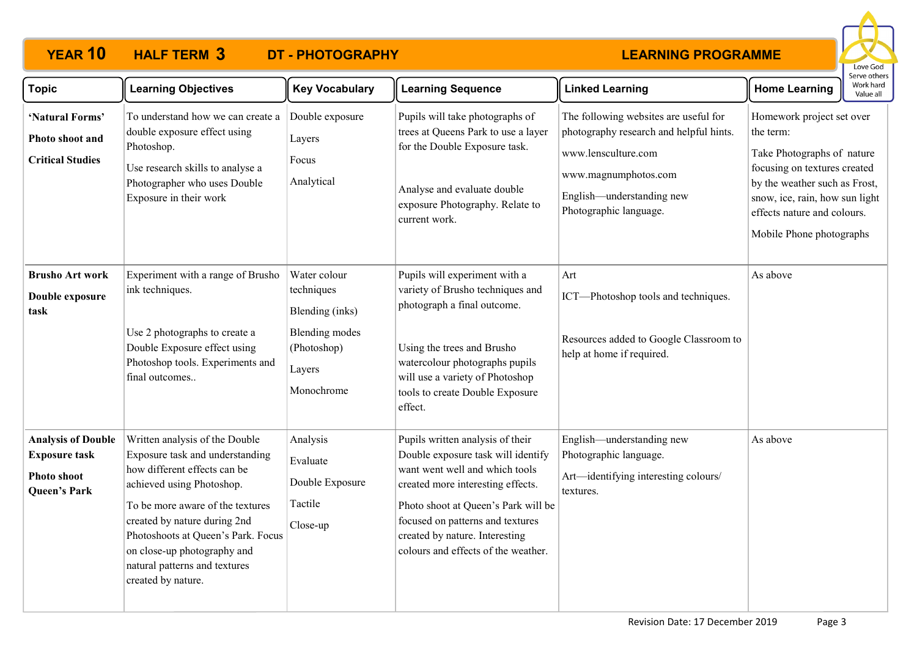

| <b>Topic</b>                                                                                   | <b>Learning Objectives</b>                                                                                                                                                                                                                                                                                                     | <b>Key Vocabulary</b>                                                                                         | <b>Learning Sequence</b>                                                                                                                                                                                                                                                                          | <b>Linked Learning</b>                                                                                                                                                                 | <b>Home Learning</b>                                                                                                                                                                                                               | Work hard<br>Value all |
|------------------------------------------------------------------------------------------------|--------------------------------------------------------------------------------------------------------------------------------------------------------------------------------------------------------------------------------------------------------------------------------------------------------------------------------|---------------------------------------------------------------------------------------------------------------|---------------------------------------------------------------------------------------------------------------------------------------------------------------------------------------------------------------------------------------------------------------------------------------------------|----------------------------------------------------------------------------------------------------------------------------------------------------------------------------------------|------------------------------------------------------------------------------------------------------------------------------------------------------------------------------------------------------------------------------------|------------------------|
| 'Natural Forms'<br>Photo shoot and<br><b>Critical Studies</b>                                  | To understand how we can create a<br>double exposure effect using<br>Photoshop.<br>Use research skills to analyse a<br>Photographer who uses Double<br>Exposure in their work                                                                                                                                                  | Double exposure<br>Layers<br>Focus<br>Analytical                                                              | Pupils will take photographs of<br>trees at Queens Park to use a layer<br>for the Double Exposure task.<br>Analyse and evaluate double<br>exposure Photography. Relate to<br>current work.                                                                                                        | The following websites are useful for<br>photography research and helpful hints.<br>www.lensculture.com<br>www.magnumphotos.com<br>English-understanding new<br>Photographic language. | Homework project set over<br>the term:<br>Take Photographs of nature<br>focusing on textures created<br>by the weather such as Frost,<br>snow, ice, rain, how sun light<br>effects nature and colours.<br>Mobile Phone photographs |                        |
| <b>Brusho Art work</b><br>Double exposure<br>task                                              | Experiment with a range of Brusho<br>ink techniques.<br>Use 2 photographs to create a<br>Double Exposure effect using<br>Photoshop tools. Experiments and<br>final outcomes                                                                                                                                                    | Water colour<br>techniques<br>Blending (inks)<br><b>Blending</b> modes<br>(Photoshop)<br>Layers<br>Monochrome | Pupils will experiment with a<br>variety of Brusho techniques and<br>photograph a final outcome.<br>Using the trees and Brusho<br>watercolour photographs pupils<br>will use a variety of Photoshop<br>tools to create Double Exposure<br>effect.                                                 | Art<br>ICT-Photoshop tools and techniques.<br>Resources added to Google Classroom to<br>help at home if required.                                                                      | As above                                                                                                                                                                                                                           |                        |
| <b>Analysis of Double</b><br><b>Exposure task</b><br><b>Photo shoot</b><br><b>Queen's Park</b> | Written analysis of the Double<br>Exposure task and understanding<br>how different effects can be<br>achieved using Photoshop.<br>To be more aware of the textures<br>created by nature during 2nd<br>Photoshoots at Queen's Park. Focus<br>on close-up photography and<br>natural patterns and textures<br>created by nature. | Analysis<br>Evaluate<br>Double Exposure<br>Tactile<br>Close-up                                                | Pupils written analysis of their<br>Double exposure task will identify<br>want went well and which tools<br>created more interesting effects.<br>Photo shoot at Queen's Park will be<br>focused on patterns and textures<br>created by nature. Interesting<br>colours and effects of the weather. | English-understanding new<br>Photographic language.<br>Art—identifying interesting colours/<br>textures.                                                                               | As above                                                                                                                                                                                                                           |                        |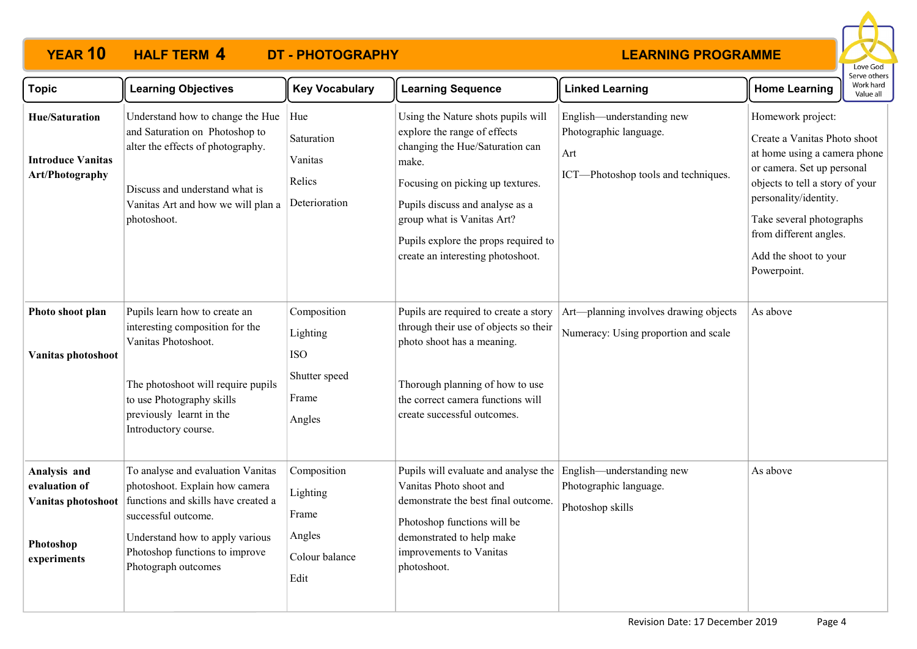

| <b>Topic</b>                                                                    | <b>Learning Objectives</b>                                                                                                                                                                                                    | <b>Key Vocabulary</b>                                                     | <b>Learning Sequence</b>                                                                                                                                                                                                                                                                         | <b>Linked Learning</b>                                                                            | Work hard<br><b>Home Learning</b><br>Value all                                                                                                                                                                                                                            |
|---------------------------------------------------------------------------------|-------------------------------------------------------------------------------------------------------------------------------------------------------------------------------------------------------------------------------|---------------------------------------------------------------------------|--------------------------------------------------------------------------------------------------------------------------------------------------------------------------------------------------------------------------------------------------------------------------------------------------|---------------------------------------------------------------------------------------------------|---------------------------------------------------------------------------------------------------------------------------------------------------------------------------------------------------------------------------------------------------------------------------|
| <b>Hue/Saturation</b><br><b>Introduce Vanitas</b><br>Art/Photography            | Understand how to change the Hue<br>and Saturation on Photoshop to<br>alter the effects of photography.<br>Discuss and understand what is<br>Vanitas Art and how we will plan a<br>photoshoot.                                | Hue<br>Saturation<br>Vanitas<br>Relics<br>Deterioration                   | Using the Nature shots pupils will<br>explore the range of effects<br>changing the Hue/Saturation can<br>make.<br>Focusing on picking up textures.<br>Pupils discuss and analyse as a<br>group what is Vanitas Art?<br>Pupils explore the props required to<br>create an interesting photoshoot. | English—understanding new<br>Photographic language.<br>Art<br>ICT-Photoshop tools and techniques. | Homework project:<br>Create a Vanitas Photo shoot<br>at home using a camera phone<br>or camera. Set up personal<br>objects to tell a story of your<br>personality/identity.<br>Take several photographs<br>from different angles.<br>Add the shoot to your<br>Powerpoint. |
| Photo shoot plan<br>Vanitas photoshoot                                          | Pupils learn how to create an<br>interesting composition for the<br>Vanitas Photoshoot.<br>The photoshoot will require pupils<br>to use Photography skills<br>previously learnt in the<br>Introductory course.                | Composition<br>Lighting<br><b>ISO</b><br>Shutter speed<br>Frame<br>Angles | Pupils are required to create a story<br>through their use of objects so their<br>photo shoot has a meaning.<br>Thorough planning of how to use<br>the correct camera functions will<br>create successful outcomes.                                                                              | Art-planning involves drawing objects<br>Numeracy: Using proportion and scale                     | As above                                                                                                                                                                                                                                                                  |
| Analysis and<br>evaluation of<br>Vanitas photoshoot<br>Photoshop<br>experiments | To analyse and evaluation Vanitas<br>photoshoot. Explain how camera<br>functions and skills have created a<br>successful outcome.<br>Understand how to apply various<br>Photoshop functions to improve<br>Photograph outcomes | Composition<br>Lighting<br>Frame<br>Angles<br>Colour balance<br>Edit      | Pupils will evaluate and analyse the<br>Vanitas Photo shoot and<br>demonstrate the best final outcome.<br>Photoshop functions will be<br>demonstrated to help make<br>improvements to Vanitas<br>photoshoot.                                                                                     | English—understanding new<br>Photographic language.<br>Photoshop skills                           | As above                                                                                                                                                                                                                                                                  |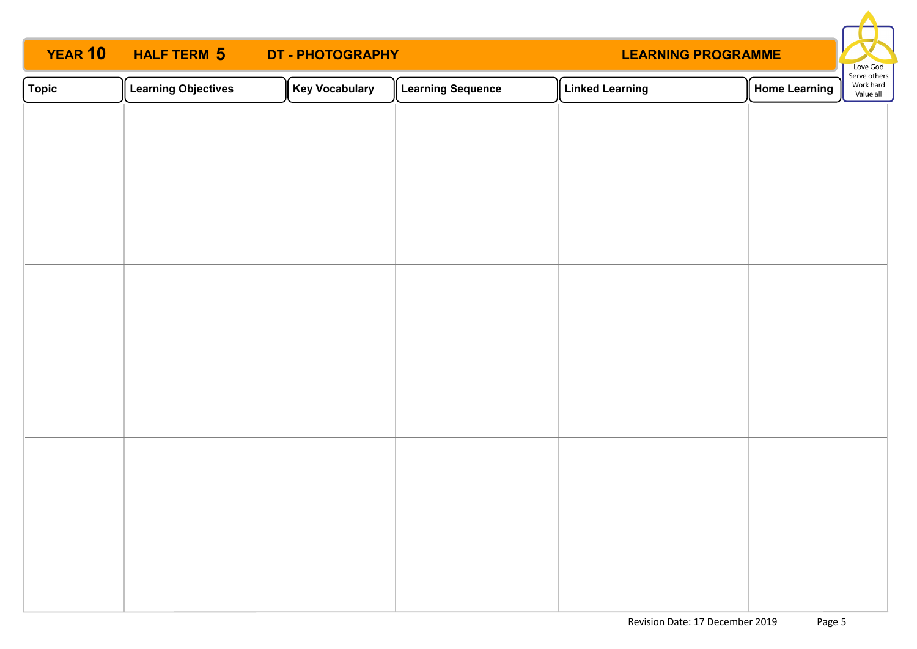# **YEAR 10 HALF TERM 5 DT - PHOTOGRAPHY**



| $\sqrt{\phantom{a}}$ Topic | <b>Learning Objectives</b> | <b>Key Vocabulary</b> | <b>Learning Sequence</b> | <b>Linked Learning</b> | Home Learning | Serve others<br>Work hard<br>Value all |
|----------------------------|----------------------------|-----------------------|--------------------------|------------------------|---------------|----------------------------------------|
|                            |                            |                       |                          |                        |               |                                        |
|                            |                            |                       |                          |                        |               |                                        |
|                            |                            |                       |                          |                        |               |                                        |
|                            |                            |                       |                          |                        |               |                                        |
|                            |                            |                       |                          |                        |               |                                        |
|                            |                            |                       |                          |                        |               |                                        |
|                            |                            |                       |                          |                        |               |                                        |
|                            |                            |                       |                          |                        |               |                                        |
|                            |                            |                       |                          |                        |               |                                        |
|                            |                            |                       |                          |                        |               |                                        |
|                            |                            |                       |                          |                        |               |                                        |
|                            |                            |                       |                          |                        |               |                                        |
|                            |                            |                       |                          |                        |               |                                        |
|                            |                            |                       |                          |                        |               |                                        |
|                            |                            |                       |                          |                        |               |                                        |
|                            |                            |                       |                          |                        |               |                                        |
|                            |                            |                       |                          |                        |               |                                        |
|                            |                            |                       |                          |                        |               |                                        |
|                            |                            |                       |                          |                        |               |                                        |